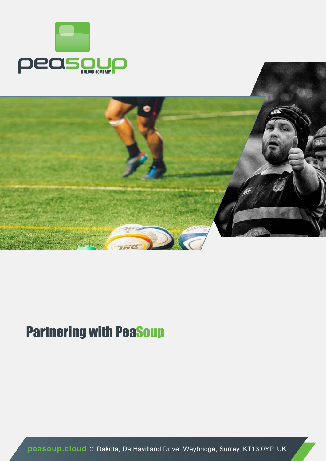



## Partnering with PeaSoup

**peasoup.cloud** :: Dakota, De Havilland Drive, Weybridge, Surrey, KT13 0YP, UK